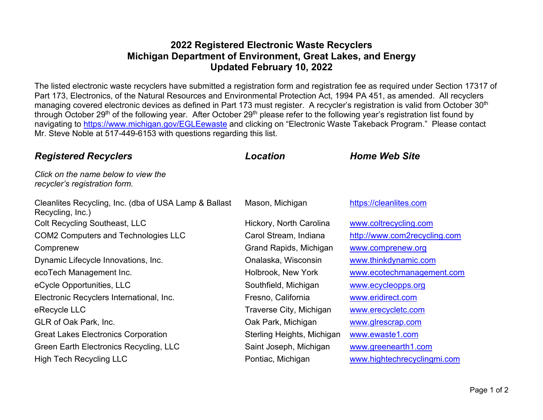## **2022 Registered Electronic Waste Recyclers Michigan Department of Environment, Great Lakes, and Energy Updated February 10, 2022**

The listed electronic waste recyclers have submitted a registration form and registration fee as required under Section 17317 of Part 173, Electronics, of the Natural Resources and Environmental Protection Act, 1994 PA 451, as amended. All recyclers managing covered electronic devices as defined in Part 173 must register. A recycler's registration is valid from October 30<sup>th</sup> through October 29<sup>th</sup> of the following year. After October 29<sup>th</sup> please refer to the following year's registration list found by navigating to <https://www.michigan.gov/EGLEewaste> and clicking on "Electronic Waste Takeback Program." Please contact Mr. Steve Noble at 517-449-6153 with questions regarding this list.

| <b>Registered Recyclers</b>                                               | Location                   | <b>Home Web Site</b>         |
|---------------------------------------------------------------------------|----------------------------|------------------------------|
| Click on the name below to view the<br>recycler's registration form.      |                            |                              |
| Cleanlites Recycling, Inc. (dba of USA Lamp & Ballast<br>Recycling, Inc.) | Mason, Michigan            | https://cleanlites.com       |
| Colt Recycling Southeast, LLC                                             | Hickory, North Carolina    | www.coltrecycling.com        |
| <b>COM2 Computers and Technologies LLC</b>                                | Carol Stream, Indiana      | http://www.com2recycling.com |
| Comprenew                                                                 | Grand Rapids, Michigan     | www.comprenew.org            |
| Dynamic Lifecycle Innovations, Inc.                                       | Onalaska, Wisconsin        | www.thinkdynamic.com         |
| ecoTech Management Inc.                                                   | Holbrook, New York         | www.ecotechmanagement.com    |
| eCycle Opportunities, LLC                                                 | Southfield, Michigan       | www.ecycleopps.org           |
| Electronic Recyclers International, Inc.                                  | Fresno, California         | www.eridirect.com            |
| eRecycle LLC                                                              | Traverse City, Michigan    | www.erecycletc.com           |
| GLR of Oak Park, Inc.                                                     | Oak Park, Michigan         | www.glrescrap.com            |
| <b>Great Lakes Electronics Corporation</b>                                | Sterling Heights, Michigan | www.ewaste1.com              |
| Green Earth Electronics Recycling, LLC                                    | Saint Joseph, Michigan     | www.greenearth1.com          |
| <b>High Tech Recycling LLC</b>                                            | Pontiac, Michigan          | www.hightechrecyclingmi.com  |
|                                                                           |                            |                              |